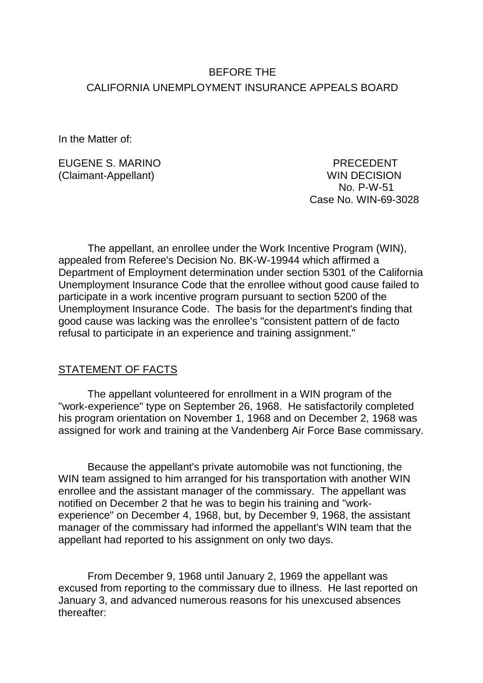# BEFORE THE CALIFORNIA UNEMPLOYMENT INSURANCE APPEALS BOARD

In the Matter of:

EUGENE S. MARINO PRECEDENT (Claimant-Appellant) WIN DECISION

 No. P-W-51 Case No. WIN-69-3028

The appellant, an enrollee under the Work Incentive Program (WIN), appealed from Referee's Decision No. BK-W-19944 which affirmed a Department of Employment determination under section 5301 of the California Unemployment Insurance Code that the enrollee without good cause failed to participate in a work incentive program pursuant to section 5200 of the Unemployment Insurance Code. The basis for the department's finding that good cause was lacking was the enrollee's "consistent pattern of de facto refusal to participate in an experience and training assignment."

## STATEMENT OF FACTS

The appellant volunteered for enrollment in a WIN program of the "work-experience" type on September 26, 1968. He satisfactorily completed his program orientation on November 1, 1968 and on December 2, 1968 was assigned for work and training at the Vandenberg Air Force Base commissary.

Because the appellant's private automobile was not functioning, the WIN team assigned to him arranged for his transportation with another WIN enrollee and the assistant manager of the commissary. The appellant was notified on December 2 that he was to begin his training and "workexperience" on December 4, 1968, but, by December 9, 1968, the assistant manager of the commissary had informed the appellant's WIN team that the appellant had reported to his assignment on only two days.

From December 9, 1968 until January 2, 1969 the appellant was excused from reporting to the commissary due to illness. He last reported on January 3, and advanced numerous reasons for his unexcused absences thereafter: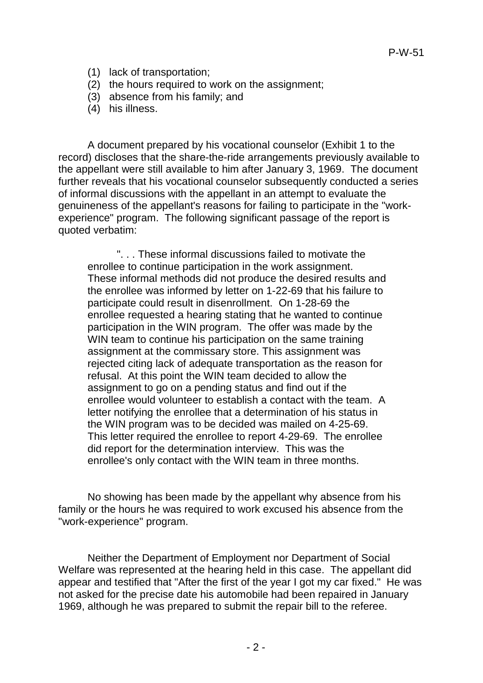P-W-51

- (1) lack of transportation;
- (2) the hours required to work on the assignment;
- (3) absence from his family; and
- (4) his illness.

A document prepared by his vocational counselor (Exhibit 1 to the record) discloses that the share-the-ride arrangements previously available to the appellant were still available to him after January 3, 1969. The document further reveals that his vocational counselor subsequently conducted a series of informal discussions with the appellant in an attempt to evaluate the genuineness of the appellant's reasons for failing to participate in the "workexperience" program. The following significant passage of the report is quoted verbatim:

". . . These informal discussions failed to motivate the enrollee to continue participation in the work assignment. These informal methods did not produce the desired results and the enrollee was informed by letter on 1-22-69 that his failure to participate could result in disenrollment. On 1-28-69 the enrollee requested a hearing stating that he wanted to continue participation in the WIN program. The offer was made by the WIN team to continue his participation on the same training assignment at the commissary store. This assignment was rejected citing lack of adequate transportation as the reason for refusal. At this point the WIN team decided to allow the assignment to go on a pending status and find out if the enrollee would volunteer to establish a contact with the team. A letter notifying the enrollee that a determination of his status in the WIN program was to be decided was mailed on 4-25-69. This letter required the enrollee to report 4-29-69. The enrollee did report for the determination interview. This was the enrollee's only contact with the WIN team in three months.

No showing has been made by the appellant why absence from his family or the hours he was required to work excused his absence from the "work-experience" program.

Neither the Department of Employment nor Department of Social Welfare was represented at the hearing held in this case. The appellant did appear and testified that "After the first of the year I got my car fixed." He was not asked for the precise date his automobile had been repaired in January 1969, although he was prepared to submit the repair bill to the referee.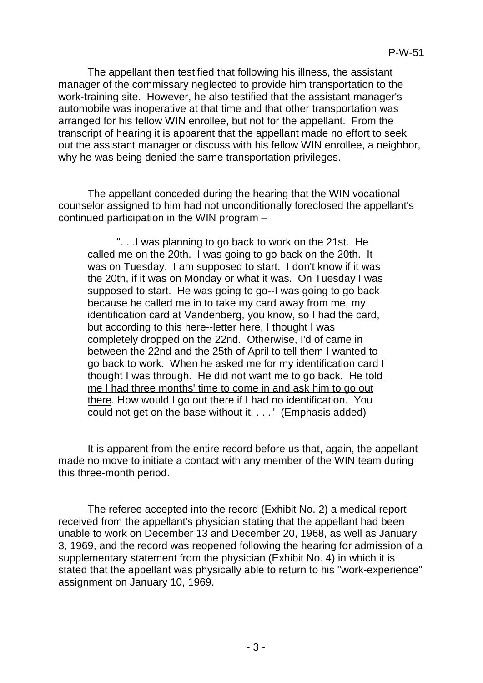The appellant then testified that following his illness, the assistant manager of the commissary neglected to provide him transportation to the work-training site. However, he also testified that the assistant manager's automobile was inoperative at that time and that other transportation was arranged for his fellow WIN enrollee, but not for the appellant. From the transcript of hearing it is apparent that the appellant made no effort to seek out the assistant manager or discuss with his fellow WIN enrollee, a neighbor, why he was being denied the same transportation privileges.

The appellant conceded during the hearing that the WIN vocational counselor assigned to him had not unconditionally foreclosed the appellant's continued participation in the WIN program –

". . .I was planning to go back to work on the 21st. He called me on the 20th. I was going to go back on the 20th. It was on Tuesday. I am supposed to start. I don't know if it was the 20th, if it was on Monday or what it was. On Tuesday I was supposed to start. He was going to go--I was going to go back because he called me in to take my card away from me, my identification card at Vandenberg, you know, so I had the card, but according to this here--letter here, I thought I was completely dropped on the 22nd. Otherwise, I'd of came in between the 22nd and the 25th of April to tell them I wanted to go back to work. When he asked me for my identification card I thought I was through. He did not want me to go back. He told me I had three months' time to come in and ask him to go out there*.* How would I go out there if I had no identification. You could not get on the base without it. . . ." (Emphasis added)

It is apparent from the entire record before us that, again, the appellant made no move to initiate a contact with any member of the WIN team during this three-month period.

The referee accepted into the record (Exhibit No. 2) a medical report received from the appellant's physician stating that the appellant had been unable to work on December 13 and December 20, 1968, as well as January 3, 1969, and the record was reopened following the hearing for admission of a supplementary statement from the physician (Exhibit No. 4) in which it is stated that the appellant was physically able to return to his "work-experience" assignment on January 10, 1969.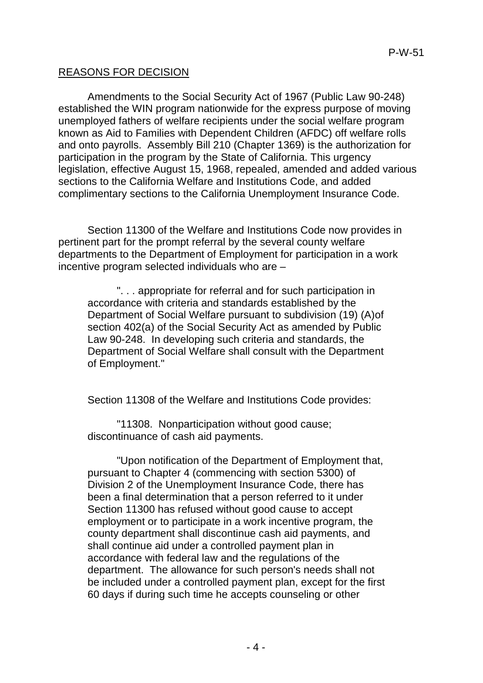### REASONS FOR DECISION

Amendments to the Social Security Act of 1967 (Public Law 90-248) established the WIN program nationwide for the express purpose of moving unemployed fathers of welfare recipients under the social welfare program known as Aid to Families with Dependent Children (AFDC) off welfare rolls and onto payrolls. Assembly Bill 210 (Chapter 1369) is the authorization for participation in the program by the State of California. This urgency legislation, effective August 15, 1968, repealed, amended and added various sections to the California Welfare and Institutions Code, and added complimentary sections to the California Unemployment Insurance Code.

Section 11300 of the Welfare and Institutions Code now provides in pertinent part for the prompt referral by the several county welfare departments to the Department of Employment for participation in a work incentive program selected individuals who are –

". . . appropriate for referral and for such participation in accordance with criteria and standards established by the Department of Social Welfare pursuant to subdivision (19) (A)of section 402(a) of the Social Security Act as amended by Public Law 90-248. In developing such criteria and standards, the Department of Social Welfare shall consult with the Department of Employment."

Section 11308 of the Welfare and Institutions Code provides:

"11308. Nonparticipation without good cause; discontinuance of cash aid payments.

"Upon notification of the Department of Employment that, pursuant to Chapter 4 (commencing with section 5300) of Division 2 of the Unemployment Insurance Code, there has been a final determination that a person referred to it under Section 11300 has refused without good cause to accept employment or to participate in a work incentive program, the county department shall discontinue cash aid payments, and shall continue aid under a controlled payment plan in accordance with federal law and the regulations of the department. The allowance for such person's needs shall not be included under a controlled payment plan, except for the first 60 days if during such time he accepts counseling or other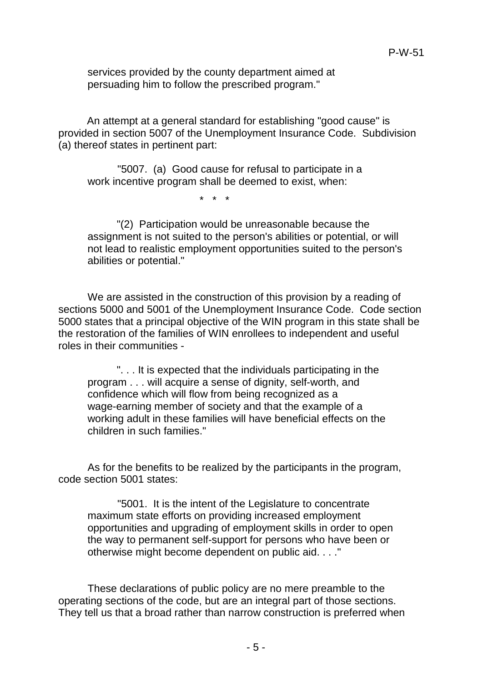services provided by the county department aimed at persuading him to follow the prescribed program."

An attempt at a general standard for establishing "good cause" is provided in section 5007 of the Unemployment Insurance Code. Subdivision (a) thereof states in pertinent part:

"5007. (a) Good cause for refusal to participate in a work incentive program shall be deemed to exist, when:

\* \* \*

"(2) Participation would be unreasonable because the assignment is not suited to the person's abilities or potential, or will not lead to realistic employment opportunities suited to the person's abilities or potential."

We are assisted in the construction of this provision by a reading of sections 5000 and 5001 of the Unemployment Insurance Code. Code section 5000 states that a principal objective of the WIN program in this state shall be the restoration of the families of WIN enrollees to independent and useful roles in their communities -

". . . It is expected that the individuals participating in the program . . . will acquire a sense of dignity, self-worth, and confidence which will flow from being recognized as a wage-earning member of society and that the example of a working adult in these families will have beneficial effects on the children in such families."

As for the benefits to be realized by the participants in the program, code section 5001 states:

"5001. It is the intent of the Legislature to concentrate maximum state efforts on providing increased employment opportunities and upgrading of employment skills in order to open the way to permanent self-support for persons who have been or otherwise might become dependent on public aid. . . ."

These declarations of public policy are no mere preamble to the operating sections of the code, but are an integral part of those sections. They tell us that a broad rather than narrow construction is preferred when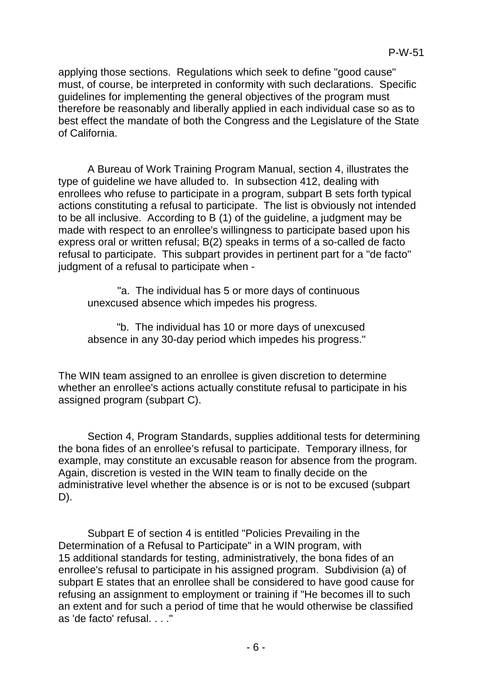applying those sections. Regulations which seek to define "good cause" must, of course, be interpreted in conformity with such declarations. Specific guidelines for implementing the general objectives of the program must therefore be reasonably and liberally applied in each individual case so as to best effect the mandate of both the Congress and the Legislature of the State of California.

A Bureau of Work Training Program Manual, section 4, illustrates the type of guideline we have alluded to. In subsection 412, dealing with enrollees who refuse to participate in a program, subpart B sets forth typical actions constituting a refusal to participate. The list is obviously not intended to be all inclusive. According to B (1) of the guideline, a judgment may be made with respect to an enrollee's willingness to participate based upon his express oral or written refusal; B(2) speaks in terms of a so-called de facto refusal to participate. This subpart provides in pertinent part for a "de facto" judgment of a refusal to participate when -

"a. The individual has 5 or more days of continuous unexcused absence which impedes his progress.

"b. The individual has 10 or more days of unexcused absence in any 30-day period which impedes his progress."

The WIN team assigned to an enrollee is given discretion to determine whether an enrollee's actions actually constitute refusal to participate in his assigned program (subpart C).

Section 4, Program Standards, supplies additional tests for determining the bona fides of an enrollee's refusal to participate. Temporary illness, for example, may constitute an excusable reason for absence from the program. Again, discretion is vested in the WIN team to finally decide on the administrative level whether the absence is or is not to be excused (subpart D).

Subpart E of section 4 is entitled "Policies Prevailing in the Determination of a Refusal to Participate" in a WIN program, with 15 additional standards for testing, administratively, the bona fides of an enrollee's refusal to participate in his assigned program. Subdivision (a) of subpart E states that an enrollee shall be considered to have good cause for refusing an assignment to employment or training if "He becomes ill to such an extent and for such a period of time that he would otherwise be classified as 'de facto' refusal. . . ."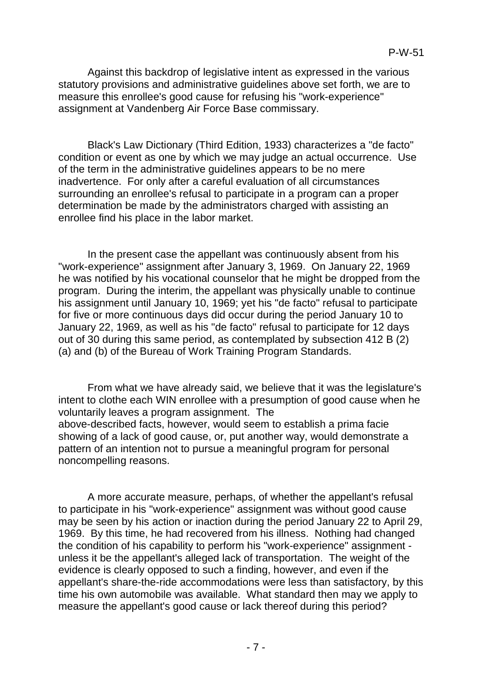Against this backdrop of legislative intent as expressed in the various statutory provisions and administrative guidelines above set forth, we are to measure this enrollee's good cause for refusing his "work-experience" assignment at Vandenberg Air Force Base commissary.

Black's Law Dictionary (Third Edition, 1933) characterizes a "de facto" condition or event as one by which we may judge an actual occurrence. Use of the term in the administrative guidelines appears to be no mere inadvertence. For only after a careful evaluation of all circumstances surrounding an enrollee's refusal to participate in a program can a proper determination be made by the administrators charged with assisting an enrollee find his place in the labor market.

In the present case the appellant was continuously absent from his "work-experience" assignment after January 3, 1969. On January 22, 1969 he was notified by his vocational counselor that he might be dropped from the program. During the interim, the appellant was physically unable to continue his assignment until January 10, 1969; yet his "de facto" refusal to participate for five or more continuous days did occur during the period January 10 to January 22, 1969, as well as his "de facto" refusal to participate for 12 days out of 30 during this same period, as contemplated by subsection 412 B (2) (a) and (b) of the Bureau of Work Training Program Standards.

From what we have already said, we believe that it was the legislature's intent to clothe each WIN enrollee with a presumption of good cause when he voluntarily leaves a program assignment. The above-described facts, however, would seem to establish a prima facie showing of a lack of good cause, or, put another way, would demonstrate a pattern of an intention not to pursue a meaningful program for personal noncompelling reasons.

A more accurate measure, perhaps, of whether the appellant's refusal to participate in his "work-experience" assignment was without good cause may be seen by his action or inaction during the period January 22 to April 29, 1969. By this time, he had recovered from his illness. Nothing had changed the condition of his capability to perform his "work-experience" assignment unless it be the appellant's alleged lack of transportation. The weight of the evidence is clearly opposed to such a finding, however, and even if the appellant's share-the-ride accommodations were less than satisfactory, by this time his own automobile was available. What standard then may we apply to measure the appellant's good cause or lack thereof during this period?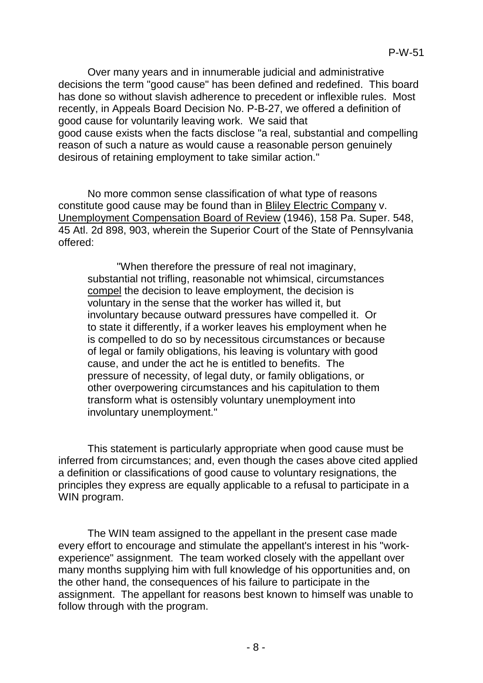Over many years and in innumerable judicial and administrative decisions the term "good cause" has been defined and redefined. This board has done so without slavish adherence to precedent or inflexible rules. Most recently, in Appeals Board Decision No. P-B-27, we offered a definition of good cause for voluntarily leaving work. We said that good cause exists when the facts disclose "a real, substantial and compelling reason of such a nature as would cause a reasonable person genuinely desirous of retaining employment to take similar action."

No more common sense classification of what type of reasons constitute good cause may be found than in Bliley Electric Company v. Unemployment Compensation Board of Review (1946), 158 Pa. Super. 548, 45 Atl. 2d 898, 903, wherein the Superior Court of the State of Pennsylvania offered:

"When therefore the pressure of real not imaginary, substantial not trifling, reasonable not whimsical, circumstances compel the decision to leave employment, the decision is voluntary in the sense that the worker has willed it, but involuntary because outward pressures have compelled it. Or to state it differently, if a worker leaves his employment when he is compelled to do so by necessitous circumstances or because of legal or family obligations, his leaving is voluntary with good cause, and under the act he is entitled to benefits. The pressure of necessity, of legal duty, or family obligations, or other overpowering circumstances and his capitulation to them transform what is ostensibly voluntary unemployment into involuntary unemployment."

This statement is particularly appropriate when good cause must be inferred from circumstances; and, even though the cases above cited applied a definition or classifications of good cause to voluntary resignations, the principles they express are equally applicable to a refusal to participate in a WIN program.

The WIN team assigned to the appellant in the present case made every effort to encourage and stimulate the appellant's interest in his "workexperience" assignment. The team worked closely with the appellant over many months supplying him with full knowledge of his opportunities and, on the other hand, the consequences of his failure to participate in the assignment. The appellant for reasons best known to himself was unable to follow through with the program.